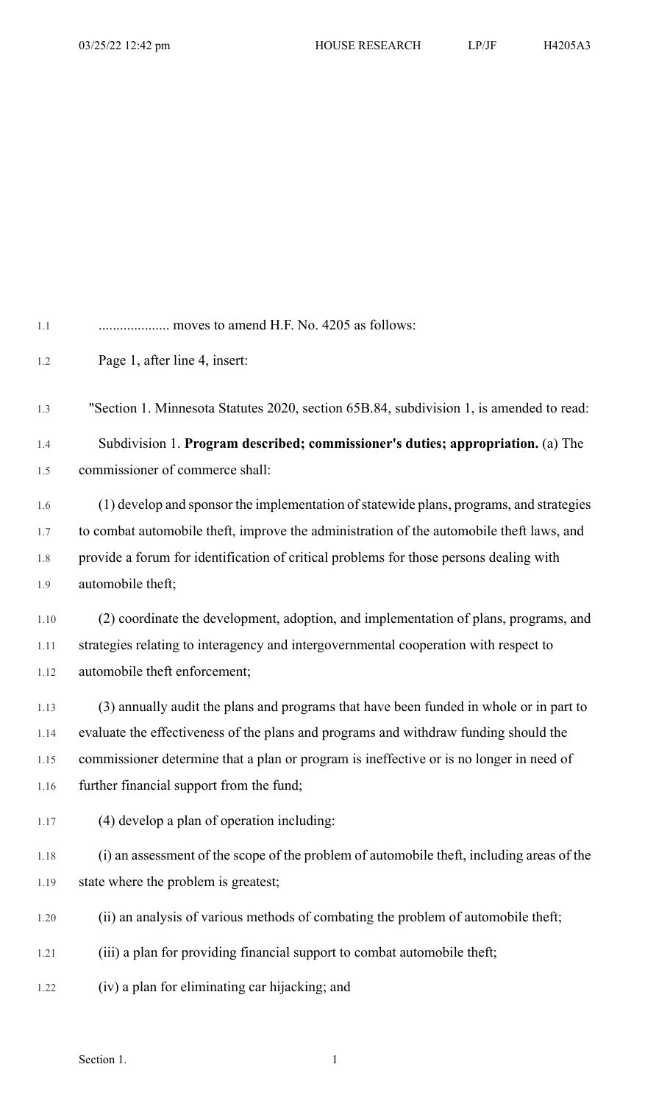| 1.1     |                                                                                           |
|---------|-------------------------------------------------------------------------------------------|
| 1.2     | Page 1, after line 4, insert:                                                             |
| 1.3     | "Section 1. Minnesota Statutes 2020, section 65B.84, subdivision 1, is amended to read:   |
| 1.4     | Subdivision 1. Program described; commissioner's duties; appropriation. (a) The           |
| 1.5     | commissioner of commerce shall:                                                           |
| 1.6     | (1) develop and sponsor the implementation of statewide plans, programs, and strategies   |
| $1.7\,$ | to combat automobile theft, improve the administration of the automobile theft laws, and  |
| 1.8     | provide a forum for identification of critical problems for those persons dealing with    |
| 1.9     | automobile theft;                                                                         |
| 1.10    | (2) coordinate the development, adoption, and implementation of plans, programs, and      |
| 1.11    | strategies relating to interagency and intergovernmental cooperation with respect to      |
| 1.12    | automobile theft enforcement;                                                             |
| 1.13    | (3) annually audit the plans and programs that have been funded in whole or in part to    |
| 1.14    | evaluate the effectiveness of the plans and programs and withdraw funding should the      |
| 1.15    | commissioner determine that a plan or program is ineffective or is no longer in need of   |
| 1.16    | further financial support from the fund;                                                  |
| 1.17    | (4) develop a plan of operation including:                                                |
| 1.18    | (i) an assessment of the scope of the problem of automobile theft, including areas of the |
| 1.19    | state where the problem is greatest;                                                      |
| 1.20    | (ii) an analysis of various methods of combating the problem of automobile theft;         |
| 1.21    | (iii) a plan for providing financial support to combat automobile theft;                  |
| 1.22    | (iv) a plan for eliminating car hijacking; and                                            |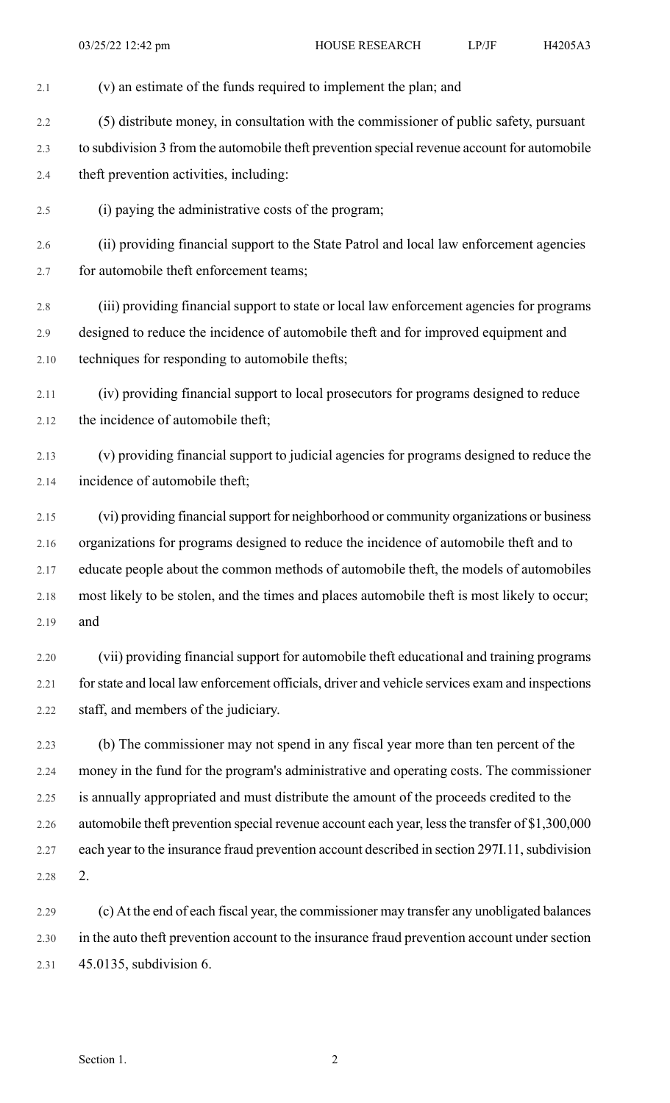- 2.1 (v) an estimate of the funds required to implement the plan; and 2.2 (5) distribute money, in consultation with the commissioner of public safety, pursuant 2.3 to subdivision 3 from the automobile theft prevention special revenue account for automobile 2.4 theft prevention activities, including: 2.5 (i) paying the administrative costs of the program; 2.6 (ii) providing financial support to the State Patrol and local law enforcement agencies 2.7 for automobile theft enforcement teams; 2.8 (iii) providing financial support to state or local law enforcement agencies for programs 2.9 designed to reduce the incidence of automobile theft and for improved equipment and 2.10 techniques for responding to automobile thefts; 2.11 (iv) providing financial support to local prosecutors for programs designed to reduce 2.12 the incidence of automobile theft; 2.13 (v) providing financial support to judicial agencies for programs designed to reduce the 2.14 incidence of automobile theft; 2.15 (vi) providing financial support for neighborhood or community organizations or business 2.16 organizations for programs designed to reduce the incidence of automobile theft and to 2.17 educate people about the common methods of automobile theft, the models of automobiles
	- 2.18 most likely to be stolen, and the times and places automobile theft is most likely to occur; 2.19 and
	- 2.20 (vii) providing financial support for automobile theft educational and training programs 2.21 forstate and local law enforcement officials, driver and vehicle services exam and inspections 2.22 staff, and members of the judiciary.
	- 2.23 (b) The commissioner may not spend in any fiscal year more than ten percent of the 2.24 money in the fund for the program's administrative and operating costs. The commissioner 2.25 is annually appropriated and must distribute the amount of the proceeds credited to the 2.26 automobile theft prevention special revenue account each year, lessthe transfer of \$1,300,000 2.27 each year to the insurance fraud prevention account described in section 2971.11, subdivision 2.28 2.
	- 2.29 (c) At the end of each fiscal year, the commissioner may transfer any unobligated balances 2.30 in the auto theft prevention account to the insurance fraud prevention account under section 2.31 45.0135, subdivision 6.